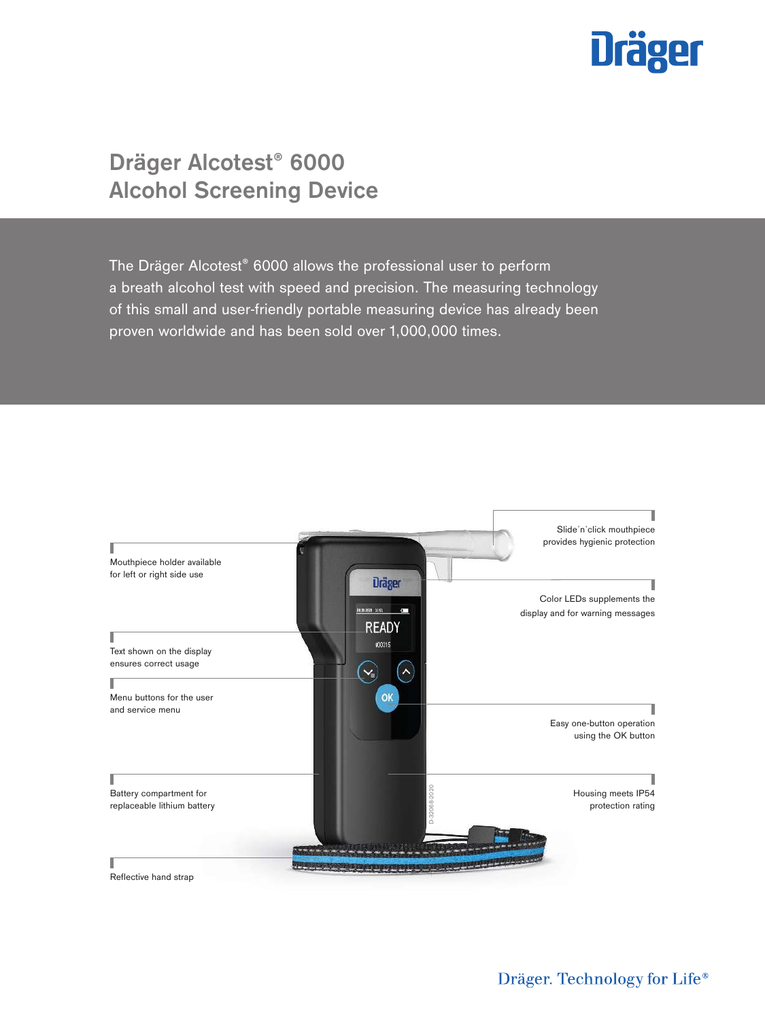

# **Dräger Alcotest® 6000 Alcohol Screening Device**

The Dräger Alcotest® 6000 allows the professional user to perform a breath alcohol test with speed and precision. The measuring technology of this small and user-friendly portable measuring device has already been proven worldwide and has been sold over 1,000,000 times.

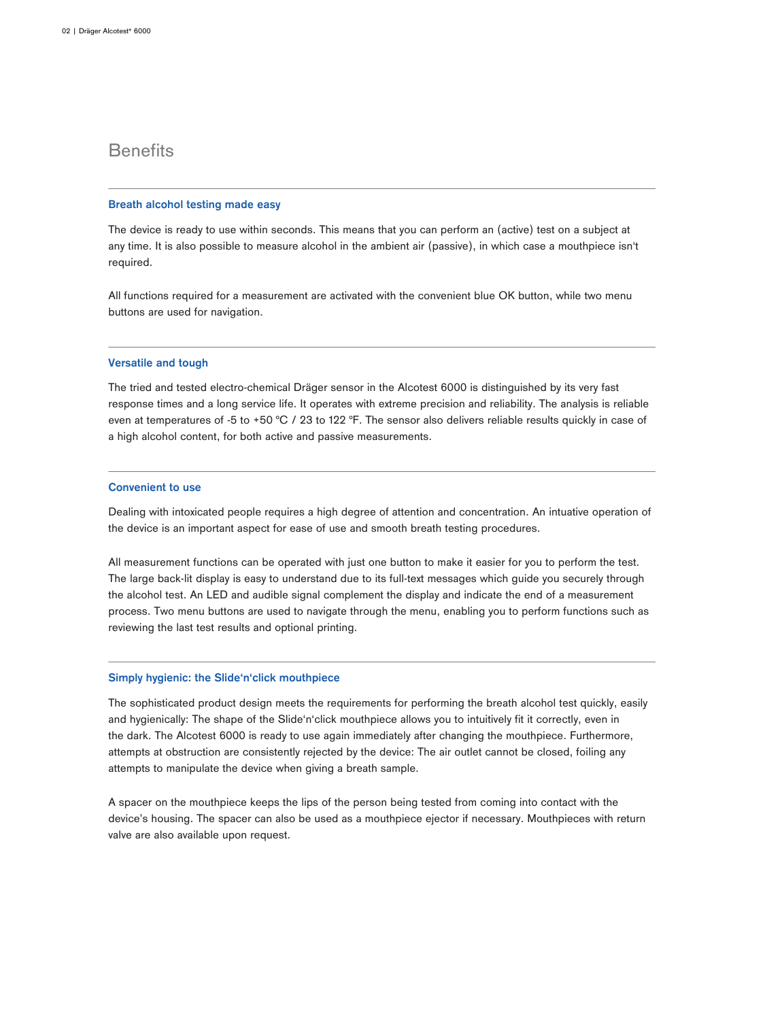# **Benefits**

#### **Breath alcohol testing made easy**

The device is ready to use within seconds. This means that you can perform an (active) test on a subject at any time. It is also possible to measure alcohol in the ambient air (passive), in which case a mouthpiece isn't required.

All functions required for a measurement are activated with the convenient blue OK button, while two menu buttons are used for navigation.

### **Versatile and tough**

The tried and tested electro-chemical Dräger sensor in the Alcotest 6000 is distinguished by its very fast response times and a long service life. It operates with extreme precision and reliability. The analysis is reliable even at temperatures of -5 to +50 °C / 23 to 122 °F. The sensor also delivers reliable results quickly in case of a high alcohol content, for both active and passive measurements.

### **Convenient to use**

Dealing with intoxicated people requires a high degree of attention and concentration. An intuative operation of the device is an important aspect for ease of use and smooth breath testing procedures.

All measurement functions can be operated with just one button to make it easier for you to perform the test. The large back-lit display is easy to understand due to its full-text messages which guide you securely through the alcohol test. An LED and audible signal complement the display and indicate the end of a measurement process. Two menu buttons are used to navigate through the menu, enabling you to perform functions such as reviewing the last test results and optional printing.

### **Simply hygienic: the Slide'n'click mouthpiece**

The sophisticated product design meets the requirements for performing the breath alcohol test quickly, easily and hygienically: The shape of the Slide'n'click mouthpiece allows you to intuitively fit it correctly, even in the dark. The Alcotest 6000 is ready to use again immediately after changing the mouthpiece. Furthermore, attempts at obstruction are consistently rejected by the device: The air outlet cannot be closed, foiling any attempts to manipulate the device when giving a breath sample.

A spacer on the mouthpiece keeps the lips of the person being tested from coming into contact with the device's housing. The spacer can also be used as a mouthpiece ejector if necessary. Mouthpieces with return valve are also available upon request.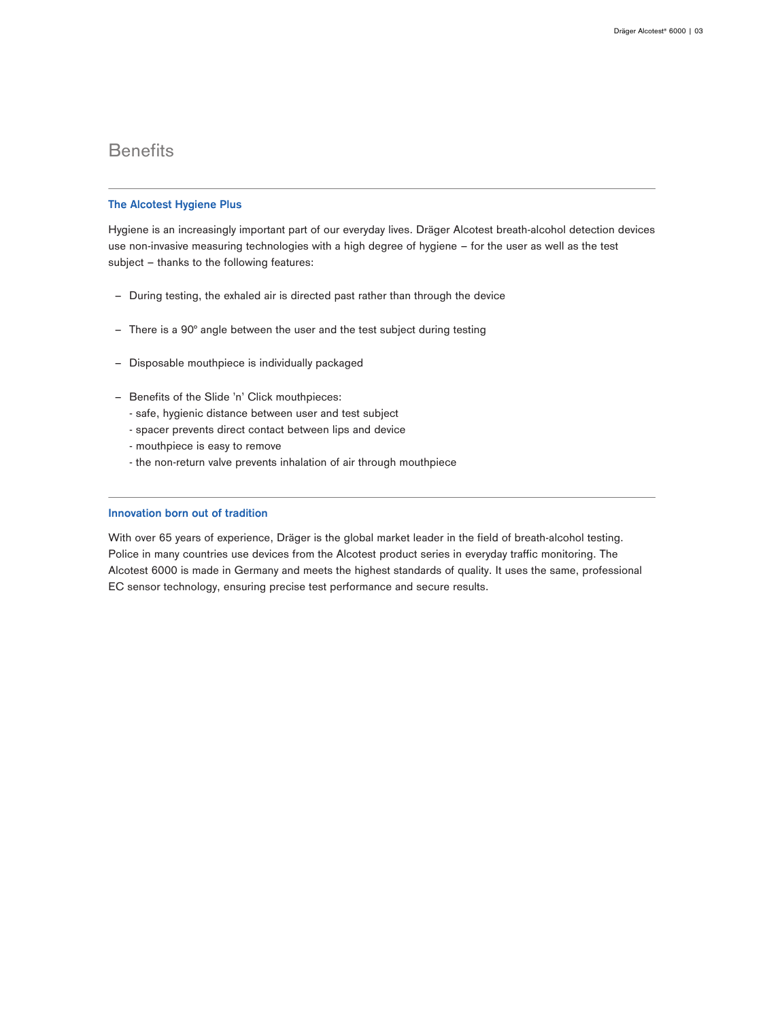# **Benefits**

### **The Alcotest Hygiene Plus**

Hygiene is an increasingly important part of our everyday lives. Dräger Alcotest breath-alcohol detection devices use non-invasive measuring technologies with a high degree of hygiene – for the user as well as the test subject – thanks to the following features:

- During testing, the exhaled air is directed past rather than through the device
- There is a 90° angle between the user and the test subject during testing
- Disposable mouthpiece is individually packaged
- ‒ Benefits of the Slide 'n' Click mouthpieces:
	- safe, hygienic distance between user and test subject
	- spacer prevents direct contact between lips and device
	- mouthpiece is easy to remove
	- the non-return valve prevents inhalation of air through mouthpiece

### **Innovation born out of tradition**

With over 65 years of experience, Dräger is the global market leader in the field of breath-alcohol testing. Police in many countries use devices from the Alcotest product series in everyday traffic monitoring. The Alcotest 6000 is made in Germany and meets the highest standards of quality. It uses the same, professional EC sensor technology, ensuring precise test performance and secure results.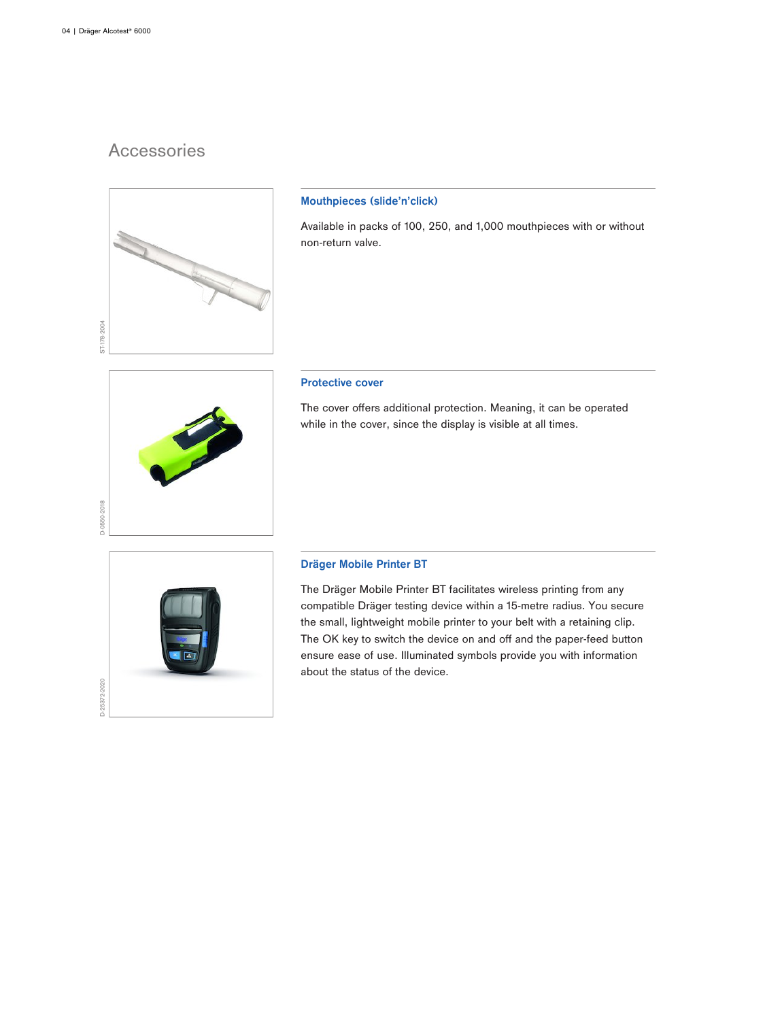D-0550-2018

# Accessories



## **Mouthpieces (slide'n'click)**

Available in packs of 100, 250, and 1,000 mouthpieces with or without non-return valve.

### **Protective cover**

The cover offers additional protection. Meaning, it can be operated while in the cover, since the display is visible at all times.



## **Dräger Mobile Printer BT**

The Dräger Mobile Printer BT facilitates wireless printing from any compatible Dräger testing device within a 15-metre radius. You secure the small, lightweight mobile printer to your belt with a retaining clip. The OK key to switch the device on and off and the paper-feed button ensure ease of use. Illuminated symbols provide you with information about the status of the device.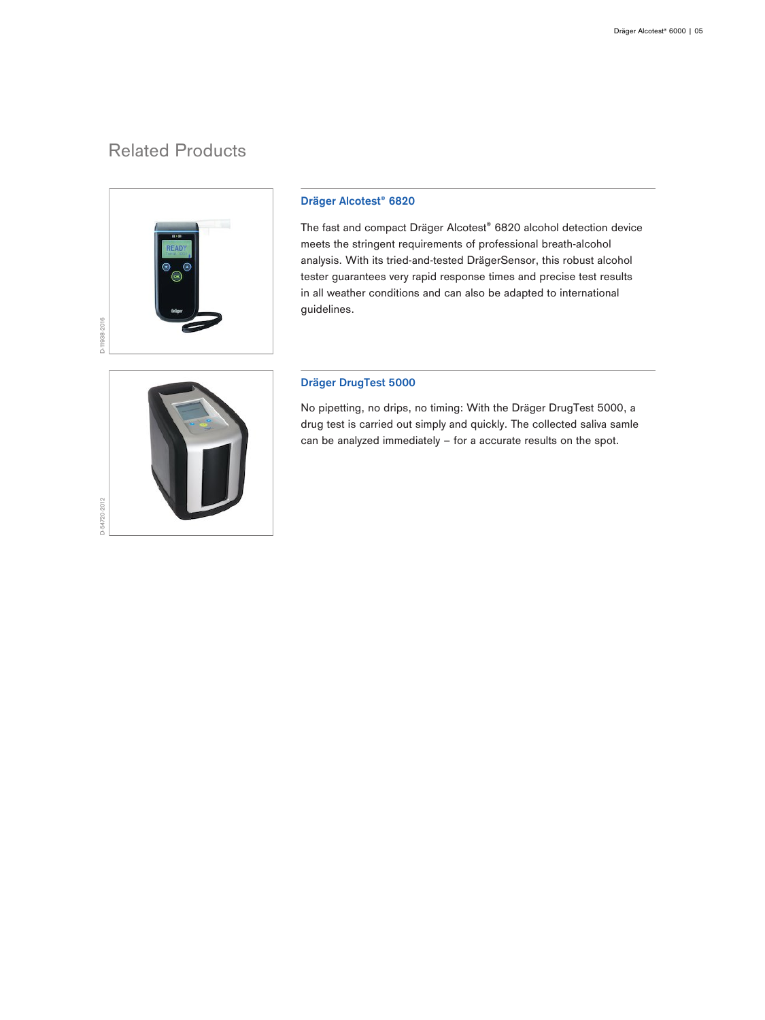# Related Products



## **Dräger Alcotest® 6820**

The fast and compact Dräger Alcotest® 6820 alcohol detection device meets the stringent requirements of professional breath-alcohol analysis. With its tried-and-tested DrägerSensor, this robust alcohol tester guarantees very rapid response times and precise test results in all weather conditions and can also be adapted to international guidelines.



## **Dräger DrugTest 5000**

No pipetting, no drips, no timing: With the Dräger DrugTest 5000, a drug test is carried out simply and quickly. The collected saliva samle can be analyzed immediately – for a accurate results on the spot.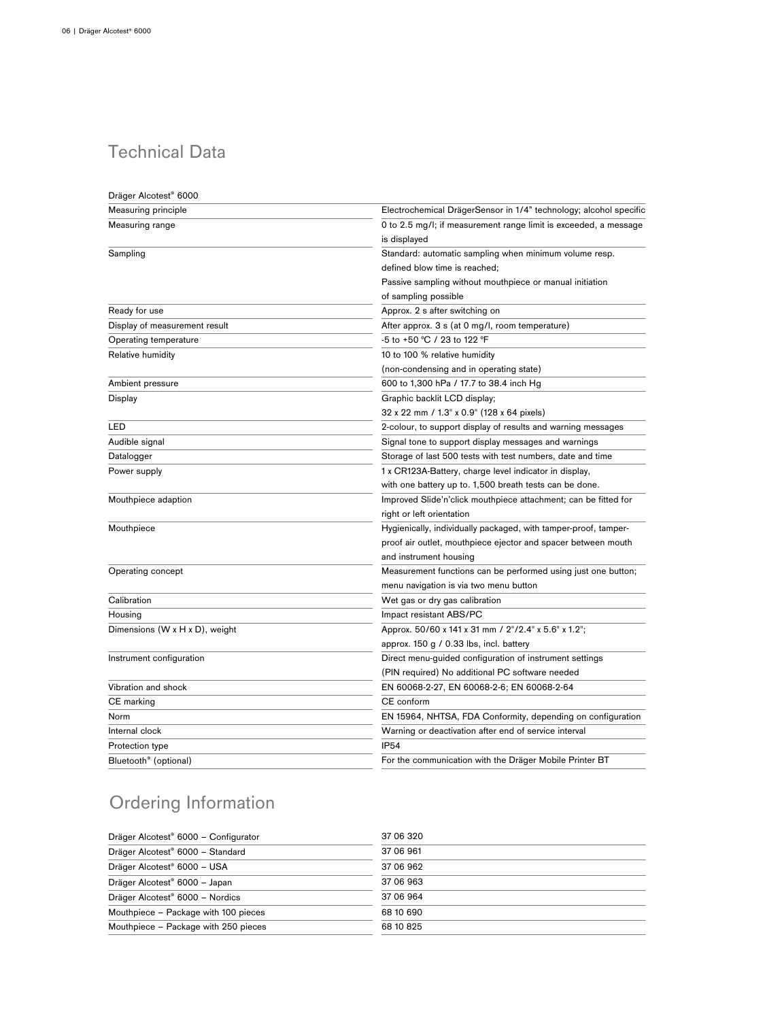# Technical Data

| Dräger Alcotest <sup>®</sup> 6000 |                                                                   |
|-----------------------------------|-------------------------------------------------------------------|
| Measuring principle               | Electrochemical DrägerSensor in 1/4" technology; alcohol specific |
| Measuring range                   | 0 to 2.5 mg/l; if measurement range limit is exceeded, a message  |
|                                   | is displayed                                                      |
| Sampling                          | Standard: automatic sampling when minimum volume resp.            |
|                                   | defined blow time is reached;                                     |
|                                   | Passive sampling without mouthpiece or manual initiation          |
|                                   | of sampling possible                                              |
| Ready for use                     | Approx. 2 s after switching on                                    |
| Display of measurement result     | After approx. 3 s (at 0 mg/l, room temperature)                   |
| Operating temperature             | -5 to +50 °C / 23 to 122 °F                                       |
| Relative humidity                 | 10 to 100 % relative humidity                                     |
|                                   | (non-condensing and in operating state)                           |
| Ambient pressure                  | 600 to 1,300 hPa / 17.7 to 38.4 inch Hg                           |
| Display                           | Graphic backlit LCD display;                                      |
|                                   | 32 x 22 mm / 1.3" x 0.9" (128 x 64 pixels)                        |
| LED                               | 2-colour, to support display of results and warning messages      |
| Audible signal                    | Signal tone to support display messages and warnings              |
| Datalogger                        | Storage of last 500 tests with test numbers, date and time        |
| Power supply                      | 1 x CR123A-Battery, charge level indicator in display,            |
|                                   | with one battery up to. 1,500 breath tests can be done.           |
| Mouthpiece adaption               | Improved Slide'n'click mouthpiece attachment; can be fitted for   |
|                                   | right or left orientation                                         |
| Mouthpiece                        | Hygienically, individually packaged, with tamper-proof, tamper-   |
|                                   | proof air outlet, mouthpiece ejector and spacer between mouth     |
|                                   | and instrument housing                                            |
| Operating concept                 | Measurement functions can be performed using just one button;     |
|                                   | menu navigation is via two menu button                            |
| Calibration                       | Wet gas or dry gas calibration                                    |
| Housing                           | Impact resistant ABS/PC                                           |
| Dimensions (W x H x D), weight    | Approx. 50/60 x 141 x 31 mm / 2"/2.4" x 5.6" x 1.2";              |
|                                   | approx. $150 g / 0.33$ lbs, incl. battery                         |
| Instrument configuration          | Direct menu-guided configuration of instrument settings           |
|                                   | (PIN required) No additional PC software needed                   |
| Vibration and shock               | EN 60068-2-27, EN 60068-2-6; EN 60068-2-64                        |
| CE marking                        | CE conform                                                        |
| Norm                              | EN 15964, NHTSA, FDA Conformity, depending on configuration       |
| Internal clock                    | Warning or deactivation after end of service interval             |
| Protection type                   | <b>IP54</b>                                                       |
| Bluetooth <sup>®</sup> (optional) | For the communication with the Dräger Mobile Printer BT           |

# Ordering Information

| Dräger Alcotest <sup>®</sup> 6000 - Configurator | 37 06 320 |
|--------------------------------------------------|-----------|
| Dräger Alcotest <sup>®</sup> 6000 - Standard     | 37 06 961 |
| Dräger Alcotest <sup>®</sup> 6000 - USA          | 37 06 962 |
| Dräger Alcotest <sup>®</sup> 6000 - Japan        | 37 06 963 |
| Dräger Alcotest <sup>®</sup> 6000 - Nordics      | 37 06 964 |
| Mouthpiece - Package with 100 pieces             | 68 10 690 |
| Mouthpiece - Package with 250 pieces             | 68 10 825 |
|                                                  |           |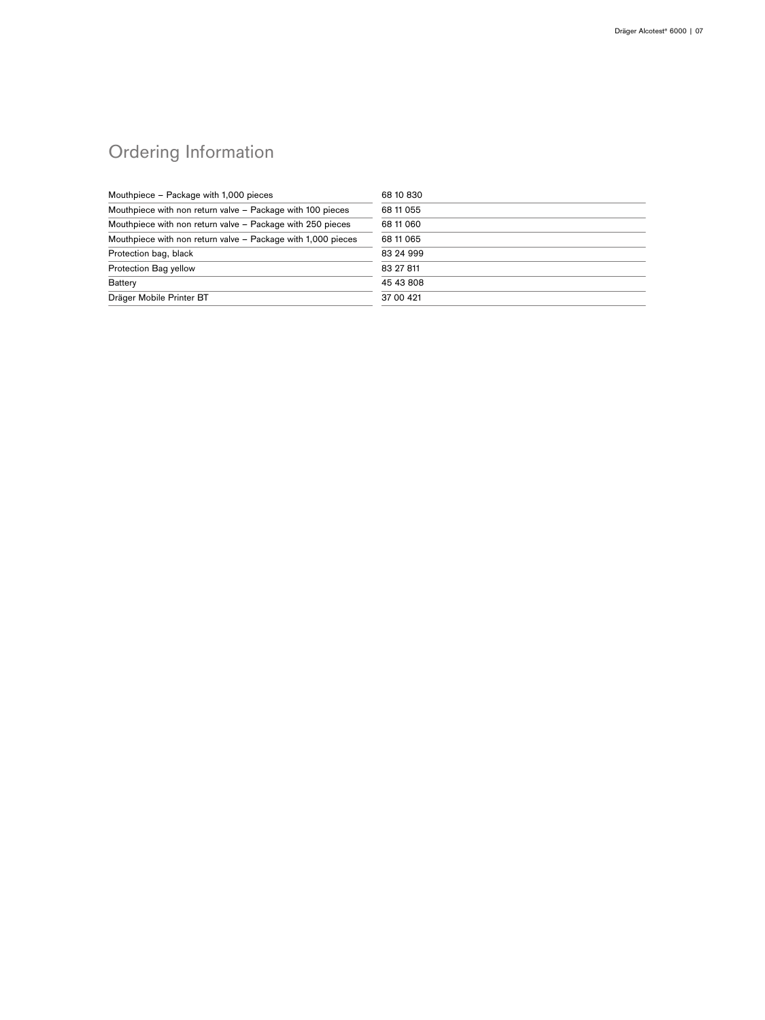# Ordering Information

| Mouthpiece - Package with 1,000 pieces                       | 68 10 830  |
|--------------------------------------------------------------|------------|
| Mouthpiece with non return valve - Package with 100 pieces   | 68 11 0 55 |
| Mouthpiece with non return valve - Package with 250 pieces   | 68 11 060  |
| Mouthpiece with non return valve - Package with 1,000 pieces | 68 11 065  |
| Protection bag, black                                        | 83 24 999  |
| Protection Bag yellow                                        | 83 27 811  |
| <b>Battery</b>                                               | 45 43 808  |
| Dräger Mobile Printer BT                                     | 37 00 421  |
|                                                              |            |